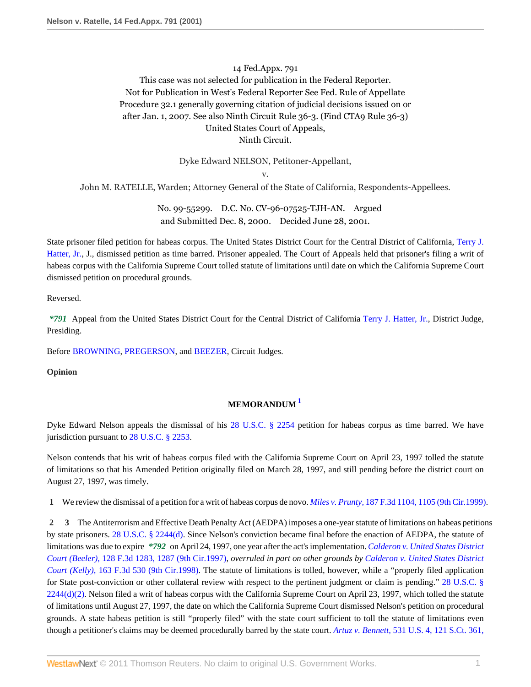# 14 Fed.Appx. 791 This case was not selected for publication in the Federal Reporter. Not for Publication in West's Federal Reporter See Fed. Rule of Appellate Procedure 32.1 generally governing citation of judicial decisions issued on or after Jan. 1, 2007. See also Ninth Circuit Rule 36-3. (Find CTA9 Rule 36-3) United States Court of Appeals, Ninth Circuit.

Dyke Edward NELSON, Petitoner-Appellant,

v.

John M. RATELLE, Warden; Attorney General of the State of California, Respondents-Appellees.

No. 99-55299. D.C. No. CV-96-07525-TJH-AN. Argued and Submitted Dec. 8, 2000. Decided June 28, 2001.

State prisoner filed petition for habeas corpus. The United States District Court for the Central District of California, [Terry J.](http://www.westlaw.com/Link/Document/FullText?findType=h&pubNum=176284&cite=0209268901&originatingDoc=I025b6df579b811d98c82a53fc8ac8757&refType=RQ&originationContext=document&vr=3.0&rs=cblt1.0&transitionType=DocumentItem&contextData=(sc.Search)) [Hatter, Jr.](http://www.westlaw.com/Link/Document/FullText?findType=h&pubNum=176284&cite=0209268901&originatingDoc=I025b6df579b811d98c82a53fc8ac8757&refType=RQ&originationContext=document&vr=3.0&rs=cblt1.0&transitionType=DocumentItem&contextData=(sc.Search)), J., dismissed petition as time barred. Prisoner appealed. The Court of Appeals held that prisoner's filing a writ of habeas corpus with the California Supreme Court tolled statute of limitations until date on which the California Supreme Court dismissed petition on procedural grounds.

Reversed.

*\*791* Appeal from the United States District Court for the Central District of California [Terry J. Hatter, Jr.,](http://www.westlaw.com/Link/Document/FullText?findType=h&pubNum=176284&cite=0209268901&originatingDoc=I025b6df579b811d98c82a53fc8ac8757&refType=RQ&originationContext=document&vr=3.0&rs=cblt1.0&transitionType=DocumentItem&contextData=(sc.Search)) District Judge, Presiding.

Before [BROWNING,](http://www.westlaw.com/Link/Document/FullText?findType=h&pubNum=176284&cite=0245052501&originatingDoc=I025b6df579b811d98c82a53fc8ac8757&refType=RQ&originationContext=document&vr=3.0&rs=cblt1.0&transitionType=DocumentItem&contextData=(sc.Search)) [PREGERSON](http://www.westlaw.com/Link/Document/FullText?findType=h&pubNum=176284&cite=0245350401&originatingDoc=I025b6df579b811d98c82a53fc8ac8757&refType=RQ&originationContext=document&vr=3.0&rs=cblt1.0&transitionType=DocumentItem&contextData=(sc.Search)), and [BEEZER,](http://www.westlaw.com/Link/Document/FullText?findType=h&pubNum=176284&cite=0258927401&originatingDoc=I025b6df579b811d98c82a53fc8ac8757&refType=RQ&originationContext=document&vr=3.0&rs=cblt1.0&transitionType=DocumentItem&contextData=(sc.Search)) Circuit Judges.

**Opinion**

## <span id="page-0-0"></span>**MEMORANDUM [1](#page-1-0)**

Dyke Edward Nelson appeals the dismissal of his [28 U.S.C. § 2254](http://www.westlaw.com/Link/Document/FullText?findType=L&pubNum=1000546&cite=28USCAS2254&originatingDoc=I025b6df579b811d98c82a53fc8ac8757&refType=LQ&originationContext=document&vr=3.0&rs=cblt1.0&transitionType=DocumentItem&contextData=(sc.Search)) petition for habeas corpus as time barred. We have jurisdiction pursuant to [28 U.S.C. § 2253.](http://www.westlaw.com/Link/Document/FullText?findType=L&pubNum=1000546&cite=28USCAS2253&originatingDoc=I025b6df579b811d98c82a53fc8ac8757&refType=LQ&originationContext=document&vr=3.0&rs=cblt1.0&transitionType=DocumentItem&contextData=(sc.Search))

Nelson contends that his writ of habeas corpus filed with the California Supreme Court on April 23, 1997 tolled the statute of limitations so that his Amended Petition originally filed on March 28, 1997, and still pending before the district court on August 27, 1997, was timely.

**1** We review the dismissal of a petition for a writ of habeas corpus de novo. *Miles v. Prunty,* [187 F.3d 1104, 1105 \(9th Cir.1999\).](http://www.westlaw.com/Link/Document/FullText?findType=Y&serNum=1999191279&pubNum=506&originationContext=document&vr=3.0&rs=cblt1.0&transitionType=DocumentItem&contextData=(sc.Search)#co_pp_sp_506_1105)

**2 3** The Antiterrorism and Effective Death Penalty Act (AEDPA) imposes a one-year statute of limitations on habeas petitions by state prisoners. [28 U.S.C. § 2244\(d\)](http://www.westlaw.com/Link/Document/FullText?findType=L&pubNum=1000546&cite=28USCAS2244&originationContext=document&vr=3.0&rs=cblt1.0&transitionType=DocumentItem&contextData=(sc.Search)#co_pp_5ba1000067d06). Since Nelson's conviction became final before the enaction of AEDPA, the statute of limitations was due to expire *\*792* on April 24, 1997, one year after the act's implementation. *[Calderon v. United States District](http://www.westlaw.com/Link/Document/FullText?findType=Y&serNum=1997227062&pubNum=506&originationContext=document&vr=3.0&rs=cblt1.0&transitionType=DocumentItem&contextData=(sc.Search)#co_pp_sp_506_1287) Court (Beeler),* [128 F.3d 1283, 1287 \(9th Cir.1997\)](http://www.westlaw.com/Link/Document/FullText?findType=Y&serNum=1997227062&pubNum=506&originationContext=document&vr=3.0&rs=cblt1.0&transitionType=DocumentItem&contextData=(sc.Search)#co_pp_sp_506_1287), *overruled in part on other grounds by [Calderon v. United States District](http://www.westlaw.com/Link/Document/FullText?findType=Y&serNum=1998246898&pubNum=506&originationContext=document&vr=3.0&rs=cblt1.0&transitionType=DocumentItem&contextData=(sc.Search)) Court (Kelly),* [163 F.3d 530 \(9th Cir.1998\).](http://www.westlaw.com/Link/Document/FullText?findType=Y&serNum=1998246898&pubNum=506&originationContext=document&vr=3.0&rs=cblt1.0&transitionType=DocumentItem&contextData=(sc.Search)) The statute of limitations is tolled, however, while a "properly filed application for State post-conviction or other collateral review with respect to the pertinent judgment or claim is pending." [28 U.S.C. §](http://www.westlaw.com/Link/Document/FullText?findType=L&pubNum=1000546&cite=28USCAS2244&originationContext=document&vr=3.0&rs=cblt1.0&transitionType=DocumentItem&contextData=(sc.Search)#co_pp_4be3000003be5)  $2244(d)(2)$ . Nelson filed a writ of habeas corpus with the California Supreme Court on April 23, 1997, which tolled the statute of limitations until August 27, 1997, the date on which the California Supreme Court dismissed Nelson's petition on procedural grounds. A state habeas petition is still "properly filed" with the state court sufficient to toll the statute of limitations even though a petitioner's claims may be deemed procedurally barred by the state court. *Artuz v. Bennett,* [531 U.S. 4, 121 S.Ct. 361,](http://www.westlaw.com/Link/Document/FullText?findType=Y&serNum=2000597585&pubNum=708&originationContext=document&vr=3.0&rs=cblt1.0&transitionType=DocumentItem&contextData=(sc.Search)#co_pp_sp_708_364)